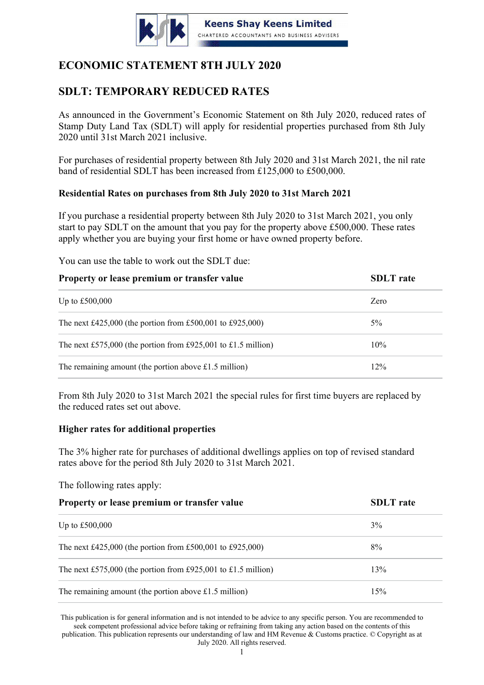

# **ECONOMIC STATEMENT 8TH JULY 2020**

# **SDLT: TEMPORARY REDUCED RATES**

As announced in the Government's Economic Statement on 8th July 2020, reduced rates of Stamp Duty Land Tax (SDLT) will apply for residential properties purchased from 8th July 2020 until 31st March 2021 inclusive.

For purchases of residential property between 8th July 2020 and 31st March 2021, the nil rate band of residential SDLT has been increased from £125,000 to £500,000.

## **Residential Rates on purchases from 8th July 2020 to 31st March 2021**

If you purchase a residential property between 8th July 2020 to 31st March 2021, you only start to pay SDLT on the amount that you pay for the property above £500,000. These rates apply whether you are buying your first home or have owned property before.

You can use the table to work out the SDLT due:

| Property or lease premium or transfer value                   | <b>SDLT</b> rate |
|---------------------------------------------------------------|------------------|
| Up to $£500,000$                                              | Zero             |
| The next £425,000 (the portion from £500,001 to £925,000)     | $5\%$            |
| The next £575,000 (the portion from £925,001 to £1.5 million) | 10%              |
| The remaining amount (the portion above £1.5 million)         | $12\%$           |

From 8th July 2020 to 31st March 2021 the special rules for first time buyers are replaced by the reduced rates set out above.

### **Higher rates for additional properties**

The 3% higher rate for purchases of additional dwellings applies on top of revised standard rates above for the period 8th July 2020 to 31st March 2021.

The following rates apply:

| Property or lease premium or transfer value                   | <b>SDLT</b> rate |
|---------------------------------------------------------------|------------------|
| Up to $£500,000$                                              | 3%               |
| The next £425,000 (the portion from £500,001 to £925,000)     | $8\%$            |
| The next £575,000 (the portion from £925,001 to £1.5 million) | 13%              |
| The remaining amount (the portion above $£1.5$ million)       | 15%              |

This publication is for general information and is not intended to be advice to any specific person. You are recommended to seek competent professional advice before taking or refraining from taking any action based on the contents of this publication. This publication represents our understanding of law and HM Revenue & Customs practice. © Copyright as at July 2020. All rights reserved.